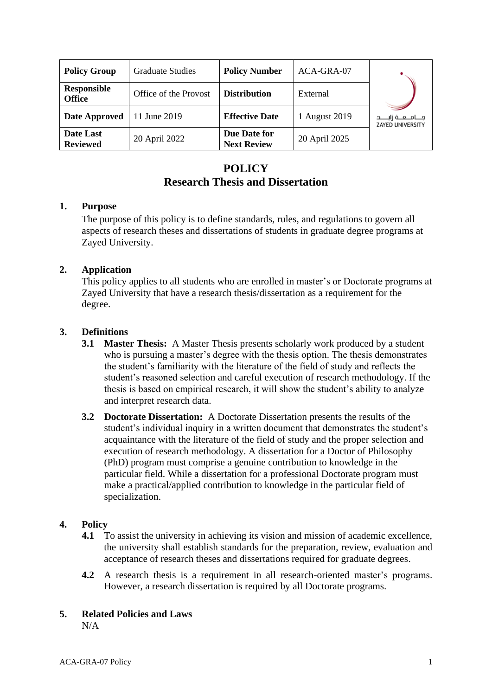| <b>Policy Group</b>          | <b>Graduate Studies</b> | <b>Policy Number</b>               | ACA-GRA-07    |                                                       |
|------------------------------|-------------------------|------------------------------------|---------------|-------------------------------------------------------|
| Responsible<br><b>Office</b> | Office of the Provost   | <b>Distribution</b>                | External      |                                                       |
| Date Approved                | 11 June 2019            | <b>Effective Date</b>              | 1 August 2019 | مــــامــــعـــة زايـــــد<br><b>ZAYED UNIVERSITY</b> |
| Date Last<br><b>Reviewed</b> | 20 April 2022           | Due Date for<br><b>Next Review</b> | 20 April 2025 |                                                       |

# **POLICY Research Thesis and Dissertation**

### **1. Purpose**

The purpose of this policy is to define standards, rules, and regulations to govern all aspects of research theses and dissertations of students in graduate degree programs at Zayed University.

### **2. Application**

This policy applies to all students who are enrolled in master's or Doctorate programs at Zayed University that have a research thesis/dissertation as a requirement for the degree.

### **3. Definitions**

- **3.1 Master Thesis:** A Master Thesis presents scholarly work produced by a student who is pursuing a master's degree with the thesis option. The thesis demonstrates the student's familiarity with the literature of the field of study and reflects the student's reasoned selection and careful execution of research methodology. If the thesis is based on empirical research, it will show the student's ability to analyze and interpret research data.
- **3.2 Doctorate Dissertation:** A Doctorate Dissertation presents the results of the student's individual inquiry in a written document that demonstrates the student's acquaintance with the literature of the field of study and the proper selection and execution of research methodology. A dissertation for a Doctor of Philosophy (PhD) program must comprise a genuine contribution to knowledge in the particular field. While a dissertation for a professional Doctorate program must make a practical/applied contribution to knowledge in the particular field of specialization.

### **4. Policy**

- **4.1** To assist the university in achieving its vision and mission of academic excellence, the university shall establish standards for the preparation, review, evaluation and acceptance of research theses and dissertations required for graduate degrees.
- **4.2** A research thesis is a requirement in all research-oriented master's programs. However, a research dissertation is required by all Doctorate programs.

#### **5. Related Policies and Laws**

N/A